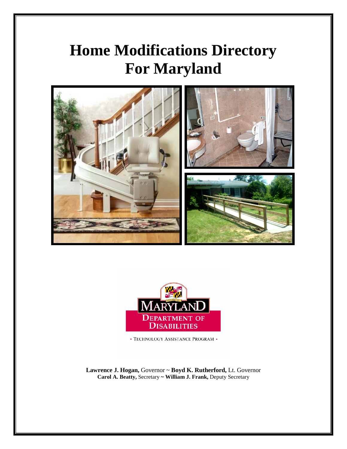# **Home Modifications Directory For Maryland**





<br>• TECHNOLOGY ASSISTANCE PROGRAM<br/>  $\bullet$ 

**Lawrence J. Hogan,** Governor ~ **Boyd K. Rutherford,** Lt. Governor **Carol A. Beatty,** Secretary **~ William J. Frank,** Deputy Secretary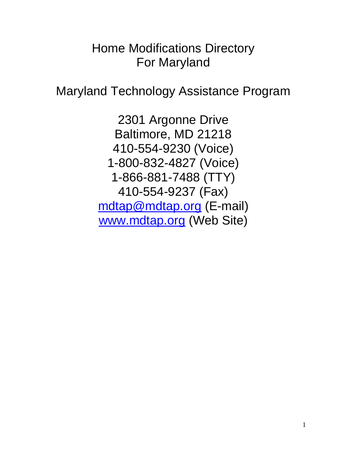## Home Modifications Directory For Maryland

Maryland Technology Assistance Program

2301 Argonne Drive Baltimore, MD 21218 410-554-9230 (Voice) 1-800-832-4827 (Voice) 1-866-881-7488 (TTY) 410-554-9237 (Fax) [mdtap@mdtap.org](mailto:mdtap@mdtap.org) (E-mail) [www.mdtap.org](http://www.mdtap.org/) (Web Site)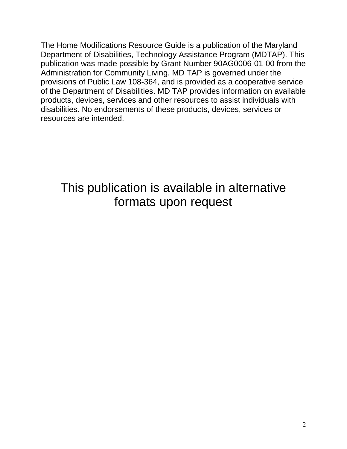The Home Modifications Resource Guide is a publication of the Maryland Department of Disabilities, Technology Assistance Program (MDTAP). This publication was made possible by Grant Number 90AG0006-01-00 from the Administration for Community Living. MD TAP is governed under the provisions of Public Law 108-364, and is provided as a cooperative service of the Department of Disabilities. MD TAP provides information on available products, devices, services and other resources to assist individuals with disabilities. No endorsements of these products, devices, services or resources are intended.

This publication is available in alternative formats upon request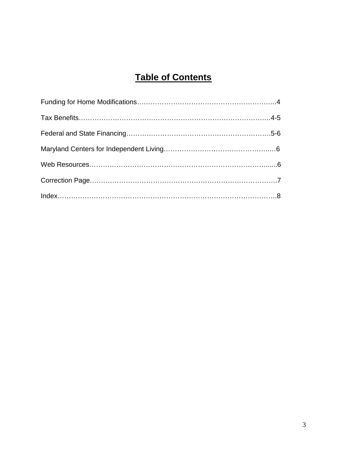## **Table of Contents**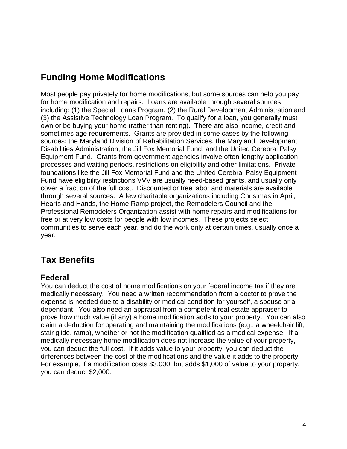## **Funding Home Modifications**

Most people pay privately for home modifications, but some sources can help you pay for home modification and repairs. Loans are available through several sources including: (1) the Special Loans Program, (2) the Rural Development Administration and (3) the Assistive Technology Loan Program. To qualify for a loan, you generally must own or be buying your home (rather than renting). There are also income, credit and sometimes age requirements. Grants are provided in some cases by the following sources: the Maryland Division of Rehabilitation Services, the Maryland Development Disabilities Administration, the Jill Fox Memorial Fund, and the United Cerebral Palsy Equipment Fund. Grants from government agencies involve often-lengthy application processes and waiting periods, restrictions on eligibility and other limitations. Private foundations like the Jill Fox Memorial Fund and the United Cerebral Palsy Equipment Fund have eligibility restrictions VVV are usually need-based grants, and usually only cover a fraction of the full cost. Discounted or free labor and materials are available through several sources. A few charitable organizations including Christmas in April, Hearts and Hands, the Home Ramp project, the Remodelers Council and the Professional Remodelers Organization assist with home repairs and modifications for free or at very low costs for people with low incomes. These projects select communities to serve each year, and do the work only at certain times, usually once a year.

## **Tax Benefits**

#### **Federal**

You can deduct the cost of home modifications on your federal income tax if they are medically necessary. You need a written recommendation from a doctor to prove the expense is needed due to a disability or medical condition for yourself, a spouse or a dependant. You also need an appraisal from a competent real estate appraiser to prove how much value (if any) a home modification adds to your property. You can also claim a deduction for operating and maintaining the modifications (e.g., a wheelchair lift, stair glide, ramp), whether or not the modification qualified as a medical expense. If a medically necessary home modification does not increase the value of your property, you can deduct the full cost. If it adds value to your property, you can deduct the differences between the cost of the modifications and the value it adds to the property. For example, if a modification costs \$3,000, but adds \$1,000 of value to your property, you can deduct \$2,000.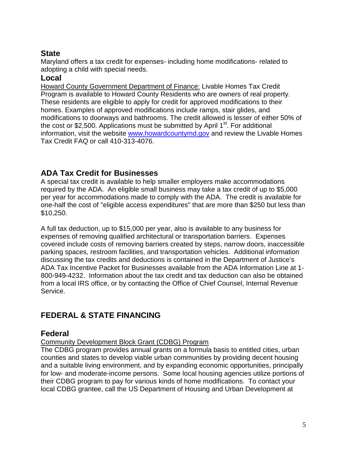#### **State**

Maryland offers a tax credit for expenses- including home modifications- related to adopting a child with special needs.

#### **Local**

Howard County Government Department of Finance: Livable Homes Tax Credit Program is available to Howard County Residents who are owners of real property. These residents are eligible to apply for credit for approved modifications to their homes. Examples of approved modifications include ramps, stair glides, and modifications to doorways and bathrooms. The credit allowed is lesser of either 50% of the cost or \$2,500. Applications must be submitted by April  $1<sup>st</sup>$ . For additional information, visit the website [www.howardcountymd.gov](http://www.howardcountymd.gov/) and review the Livable Homes Tax Credit FAQ or call 410-313-4076.

#### **ADA Tax Credit for Businesses**

A special tax credit is available to help smaller employers make accommodations required by the ADA. An eligible small business may take a tax credit of up to \$5,000 per year for accommodations made to comply with the ADA. The credit is available for one-half the cost of "eligible access expenditures" that are more than \$250 but less than \$10,250.

A full tax deduction, up to \$15,000 per year, also is available to any business for expenses of removing qualified architectural or transportation barriers. Expenses covered include costs of removing barriers created by steps, narrow doors, inaccessible parking spaces, restroom facilities, and transportation vehicles. Additional information discussing the tax credits and deductions is contained in the Department of Justice's ADA Tax Incentive Packet for Businesses available from the ADA Information Line at 1- 800-949-4232. Information about the tax credit and tax deduction can also be obtained from a local IRS office, or by contacting the Office of Chief Counsel, Internal Revenue Service.

## **FEDERAL & STATE FINANCING**

#### **Federal**

#### Community Development Block Grant (CDBG) Program

The CDBG program provides annual grants on a formula basis to entitled cities, urban counties and states to develop viable urban communities by providing decent housing and a suitable living environment, and by expanding economic opportunities, principally for low- and moderate-income persons. Some local housing agencies utilize portions of their CDBG program to pay for various kinds of home modifications. To contact your local CDBG grantee, call the US Department of Housing and Urban Development at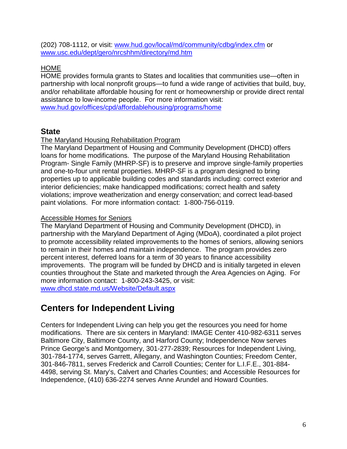(202) 708-1112, or visit: [www.hud.gov/local/md/community/cdbg/index.cfm](http://www.hud.gov/local/md/community/cdbg/index.cfm) or [www.usc.edu/dept/gero/nrcshhm/directory/md.htm](http://www.usc.edu/dept/gero/nrcshhm/directory/md.htm)

#### HOME

HOME provides formula grants to States and localities that communities use—often in partnership with local nonprofit groups—to fund a wide range of activities that build, buy, and/or rehabilitate affordable housing for rent or homeownership or provide direct rental assistance to low-income people. For more information visit: [www.hud.gov/offices/cpd/affordablehousing/programs/home](http://www.hud.gov/offices/cpd/affordablehousing/programs/home)

#### **State**

#### The Maryland Housing Rehabilitation Program

The Maryland Department of Housing and Community Development (DHCD) offers loans for home modifications. The purpose of the Maryland Housing Rehabilitation Program- Single Family (MHRP-SF) is to preserve and improve single-family properties and one-to-four unit rental properties. MHRP-SF is a program designed to bring properties up to applicable building codes and standards including: correct exterior and interior deficiencies; make handicapped modifications; correct health and safety violations; improve weatherization and energy conservation; and correct lead-based paint violations. For more information contact: 1-800-756-0119.

#### Accessible Homes for Seniors

The Maryland Department of Housing and Community Development (DHCD), in partnership with the Maryland Department of Aging (MDoA), coordinated a pilot project to promote accessibility related improvements to the homes of seniors, allowing seniors to remain in their homes and maintain independence. The program provides zero percent interest, deferred loans for a term of 30 years to finance accessibility improvements. The program will be funded by DHCD and is initially targeted in eleven counties throughout the State and marketed through the Area Agencies on Aging. For more information contact: 1-800-243-3425, or visit: [www.dhcd.state.md.us/Website/Default.aspx](http://www.dhcd.state.md.us/Website/Default.aspx)

### **Centers for Independent Living**

Centers for Independent Living can help you get the resources you need for home modifications. There are six centers in Maryland: IMAGE Center 410-982-6311 serves Baltimore City, Baltimore County, and Harford County; Independence Now serves Prince George's and Montgomery, 301-277-2839; Resources for Independent Living, 301-784-1774, serves Garrett, Allegany, and Washington Counties; Freedom Center, 301-846-7811, serves Frederick and Carroll Counties; Center for L.I.F.E., 301-884- 4498, serving St. Mary's, Calvert and Charles Counties; and Accessible Resources for Independence, (410) 636-2274 serves Anne Arundel and Howard Counties.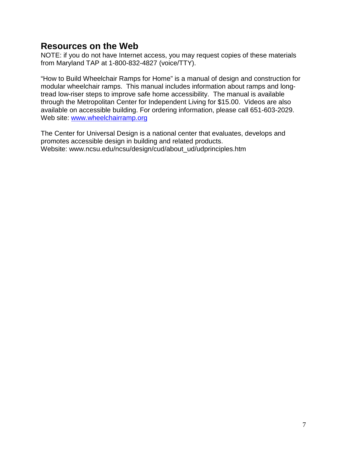### **Resources on the Web**

NOTE: if you do not have Internet access, you may request copies of these materials from Maryland TAP at 1-800-832-4827 (voice/TTY).

"How to Build Wheelchair Ramps for Home" is a manual of design and construction for modular wheelchair ramps. This manual includes information about ramps and longtread low-riser steps to improve safe home accessibility. The manual is available through the Metropolitan Center for Independent Living for \$15.00. Videos are also available on accessible building. For ordering information, please call 651-603-2029. Web site: [www.wheelchairramp.org](http://www.wheelchairramp.org/)

The Center for Universal Design is a national center that evaluates, develops and promotes accessible design in building and related products. Website: www.ncsu.edu/ncsu/design/cud/about\_ud/udprinciples.htm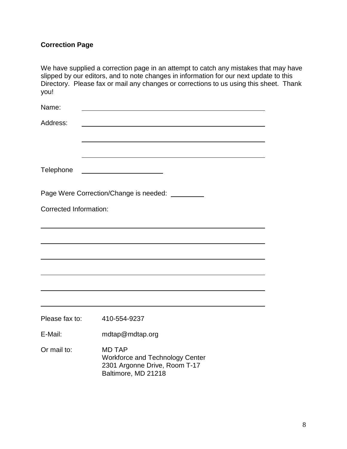### **Correction Page**

| We have supplied a correction page in an attempt to catch any mistakes that may have   |
|----------------------------------------------------------------------------------------|
| slipped by our editors, and to note changes in information for our next update to this |
| Directory. Please fax or mail any changes or corrections to us using this sheet. Thank |
| vou!                                                                                   |

| Name:                         |                                                                                                                 |
|-------------------------------|-----------------------------------------------------------------------------------------------------------------|
| Address:                      |                                                                                                                 |
| Telephone                     |                                                                                                                 |
|                               | Page Were Correction/Change is needed:                                                                          |
| <b>Corrected Information:</b> |                                                                                                                 |
|                               |                                                                                                                 |
|                               |                                                                                                                 |
|                               |                                                                                                                 |
|                               |                                                                                                                 |
| Please fax to:                | 410-554-9237                                                                                                    |
| E-Mail:                       | mdtap@mdtap.org                                                                                                 |
| Or mail to:                   | <b>MD TAP</b><br><b>Workforce and Technology Center</b><br>2301 Argonne Drive, Room T-17<br>Baltimore, MD 21218 |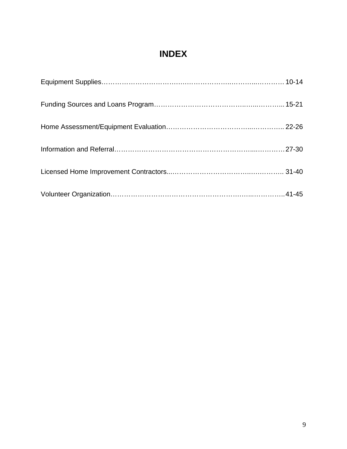## **INDEX**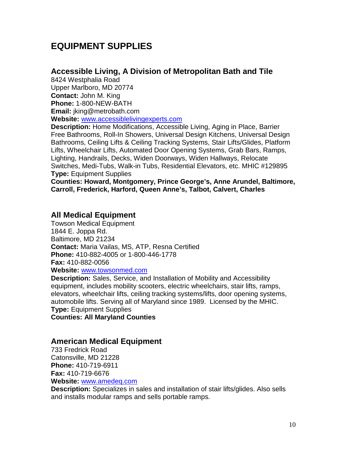## **EQUIPMENT SUPPLIES**

#### **Accessible Living, A Division of Metropolitan Bath and Tile**

8424 Westphalia Road Upper Marlboro, MD 20774 **Contact:** John M. King **Phone:** 1-800-NEW-BATH **Email:** jking@metrobath.com **Website:** [www.accessiblelivingexperts.com](http://www.accessiblelivingexperts.com/)

**Description:** Home Modifications, Accessible Living, Aging in Place, Barrier Free Bathrooms, Roll-In Showers, Universal Design Kitchens, Universal Design Bathrooms, Ceiling Lifts & Ceiling Tracking Systems, Stair Lifts/Glides, Platform Lifts, Wheelchair Lifts, Automated Door Opening Systems, Grab Bars, Ramps, Lighting, Handrails, Decks, Widen Doorways, Widen Hallways, Relocate Switches, Medi-Tubs, Walk-in Tubs, Residential Elevators, etc. MHIC #129895 **Type:** Equipment Supplies

**Counties: Howard, Montgomery, Prince George's, Anne Arundel, Baltimore, Carroll, Frederick, Harford, Queen Anne's, Talbot, Calvert, Charles**

#### **All Medical Equipment**

Towson Medical Equipment 1844 E. Joppa Rd. Baltimore, MD 21234 **Contact:** Maria Vailas, MS, ATP, Resna Certified **Phone:** 410-882-4005 or 1-800-446-1778 **Fax:** 410-882-0056 **Website:** [www.towsonmed.com](http://www.towsonmed.com/)

**Description:** Sales, Service, and Installation of Mobility and Accessibility equipment, includes mobility scooters, electric wheelchairs, stair lifts, ramps, elevators, wheelchair lifts, ceiling tracking systems/lifts, door opening systems, automobile lifts. Serving all of Maryland since 1989. Licensed by the MHIC. **Type:** Equipment Supplies

**Counties: All Maryland Counties**

#### **American Medical Equipment**

733 Fredrick Road Catonsville, MD 21228 **Phone:** 410-719-6911 **Fax:** 410-719-6676 **Website:** [www.amedeq.com](http://www.amedeq.com/) 

**Description:** Specializes in sales and installation of stair lifts/glides. Also sells and installs modular ramps and sells portable ramps.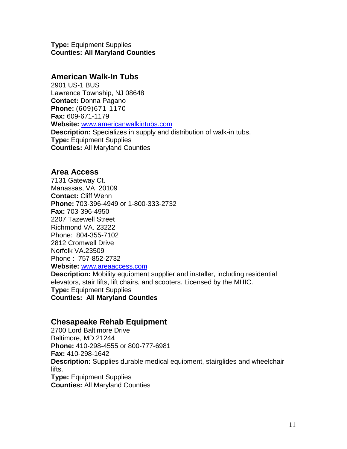**Type:** Equipment Supplies **Counties: All Maryland Counties**

#### **American Walk-In Tubs**

2901 US-1 BUS Lawrence Township, NJ 08648 **Contact:** Donna Pagano **Phone:** (609)671-1170 **Fax:** 609-671-1179 **Website:** [www.americanwalkintubs.com](http://www.americanwalkintubs.com/) **Description:** Specializes in supply and distribution of walk-in tubs. **Type:** Equipment Supplies **Counties:** All Maryland Counties

#### **Area Access**

7131 Gateway Ct. Manassas, VA 20109 **Contact:** Cliff Wenn **Phone:** 703-396-4949 or 1-800-333-2732 **Fax:** 703-396-4950 2207 Tazewell Street Richmond VA. 23222 Phone: 804-355-7102 2812 Cromwell Drive Norfolk VA.23509 Phone : 757-852-2732 **Website:** [www.areaaccess.com](http://www.areaaccess.com/)

**Description:** Mobility equipment supplier and installer, including residential elevators, stair lifts, lift chairs, and scooters. Licensed by the MHIC. **Type:** Equipment Supplies

**Counties: All Maryland Counties**

#### **Chesapeake Rehab Equipment**

2700 Lord Baltimore Drive Baltimore, MD 21244 **Phone:** 410-298-4555 or 800-777-6981 **Fax:** 410-298-1642 **Description:** Supplies durable medical equipment, stairglides and wheelchair lifts. **Type:** Equipment Supplies

**Counties:** All Maryland Counties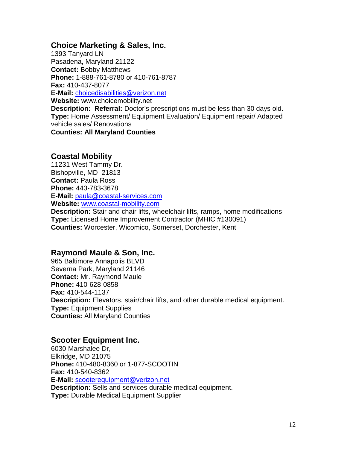#### **Choice Marketing & Sales, Inc.**

1393 Tanyard LN Pasadena, Maryland 21122 **Contact:** Bobby Matthews **Phone:** 1-888-761-8780 or 410-761-8787 **Fax:** 410-437-8077 **E-Mail:** [choicedisabilities@verizon.net](mailto:choicedisabilities@verizon.net) **Website:** www.choicemobility.net **Description: Referral:** Doctor's prescriptions must be less than 30 days old. **Type:** Home Assessment/ Equipment Evaluation/ Equipment repair/ Adapted vehicle sales/ Renovations **Counties: All Maryland Counties**

#### **Coastal Mobility**

11231 West Tammy Dr. Bishopville, MD 21813 **Contact:** Paula Ross **Phone:** 443-783-3678 **E-Mail:** [paula@coastal-services.com](mailto:paula@coastal-services.com) **Website:** [www.coastal-mobility.com](http://www.coastal-mobility.com/) **Description:** Stair and chair lifts, wheelchair lifts, ramps, home modifications **Type:** Licensed Home Improvement Contractor (MHIC #130091) **Counties:** Worcester, Wicomico, Somerset, Dorchester, Kent

#### **Raymond Maule & Son, Inc.**

965 Baltimore Annapolis BLVD Severna Park, Maryland 21146 **Contact:** Mr. Raymond Maule **Phone:** 410-628-0858 **Fax:** 410-544-1137 **Description:** Elevators, stair/chair lifts, and other durable medical equipment. **Type:** Equipment Supplies **Counties:** All Maryland Counties

#### **Scooter Equipment Inc.**

6030 Marshalee Dr, Elkridge, MD 21075 **Phone:** 410-480-8360 or 1-877-SCOOTIN **Fax:** 410-540-8362 **E-Mail:** [scooterequipment@verizon.net](mailto:scooterequipment@verizon.net) **Description:** Sells and services durable medical equipment. **Type:** Durable Medical Equipment Supplier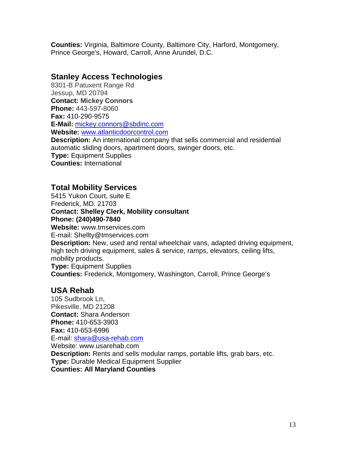**Counties:** Virginia, Baltimore County, Baltimore City, Harford, Montgomery, Prince George's, Howard, Carroll, Anne Arundel, D.C.

#### **Stanley Access Technologies**

8301-B Patuxent Range Rd Jessup, MD 20794 **Contact: Mickey Connors Phone:** 443-597-8060 **Fax:** 410-290-9575 **E-Mail:** [mickey.connors@sbdinc.com](mailto:mickey.connors@sbdinc.com) **Website:** [www.atlanticdoorcontrol.com](http://www.atlanticdoorcontrol.com/) **Description:** An international company that sells commercial and residential automatic sliding doors, apartment doors, swinger doors, etc. **Type:** Equipment Supplies **Counties:** International

#### **Total Mobility Services**

5415 Yukon Court, suite E Frederick, MD. 21703 **Contact: Shelley Clerk, Mobility consultant Phone: (240)490-7840 Website:** www.tmservices.com E-mail: Shellty@tmservices.com **Description:** New, used and rental wheelchair vans, adapted driving equipment, high tech driving equipment, sales & service, ramps, elevators, ceiling lifts, mobility products. **Type:** Equipment Supplies **Counties:** Frederick, Montgomery, Washington, Carroll, Prince George's

#### **USA Rehab**

105 Sudbrook Ln, Pikesville, MD 21208 **Contact:** Shara Anderson **Phone:** 410-653-3903 **Fax:** 410-653-6996 E-mail: [shara@usa-rehab.com](mailto:shara@usa-rehab.com) Website: www.usarehab.com **Description:** Rents and sells modular ramps, portable lifts, grab bars, etc. **Type:** Durable Medical Equipment Supplier **Counties: All Maryland Counties**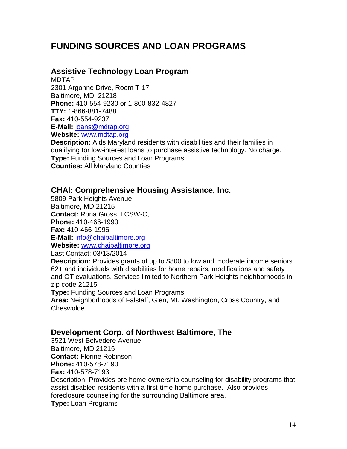## **FUNDING SOURCES AND LOAN PROGRAMS**

#### **Assistive Technology Loan Program**

MDTAP 2301 Argonne Drive, Room T-17 Baltimore, MD 21218 **Phone:** 410-554-9230 or 1-800-832-4827 **TTY:** 1-866-881-7488 **Fax:** 410-554-9237 **E-Mail:** [loans@mdtap.org](mailto:loans@mdtap.org) **Website:** [www.mdtap.org](http://www.mdtap.org/)

**Description:** Aids Maryland residents with disabilities and their families in qualifying for low-interest loans to purchase assistive technology. No charge. **Type:** Funding Sources and Loan Programs **Counties:** All Maryland Counties

#### **CHAI: Comprehensive Housing Assistance, Inc.**

5809 Park Heights Avenue Baltimore, MD 21215 **Contact:** Rona Gross, LCSW-C, **Phone:** 410-466-1990 **Fax:** 410-466-1996 **E-Mail:** [info@chaibaltimore.org](mailto:info@chaibaltimore.org) **Website:** [www.chaibaltimore.org](http://www.chaibaltimore.org/)

Last Contact: 03/13/2014

**Description:** Provides grants of up to \$800 to low and moderate income seniors 62+ and individuals with disabilities for home repairs, modifications and safety and OT evaluations. Services limited to Northern Park Heights neighborhoods in zip code 21215

**Type:** Funding Sources and Loan Programs

**Area:** Neighborhoods of Falstaff, Glen, Mt. Washington, Cross Country, and **Cheswolde** 

#### **Development Corp. of Northwest Baltimore, The**

3521 West Belvedere Avenue Baltimore, MD 21215 **Contact:** Florine Robinson **Phone:** 410-578-7190 **Fax:** 410-578-7193 Description: Provides pre home-ownership counseling for disability programs that assist disabled residents with a first-time home purchase. Also provides foreclosure counseling for the surrounding Baltimore area. **Type:** Loan Programs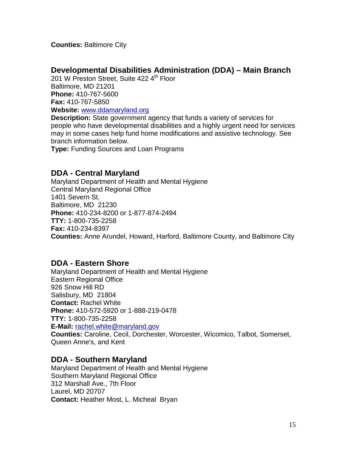**Counties:** Baltimore City

#### **Developmental Disabilities Administration (DDA) – Main Branch**

201 W Preston Street, Suite 422 4<sup>th</sup> Floor Baltimore, MD 21201 **Phone:** 410-767-5600 **Fax:** 410-767-5850 **Website:** [www.ddamaryland.org](http://www.ddamaryland.org/)

**Description:** State government agency that funds a variety of services for people who have developmental disabilities and a highly urgent need for services may in some cases help fund home modifications and assistive technology. See branch information below.

**Type:** Funding Sources and Loan Programs

#### **DDA - Central Maryland**

Maryland Department of Health and Mental Hygiene Central Maryland Regional Office 1401 Severn St. Baltimore, MD 21230 **Phone:** 410-234-8200 or 1-877-874-2494 **TTY:** 1-800-735-2258 **Fax:** 410-234-8397 **Counties:** Anne Arundel, Howard, Harford, Baltimore County, and Baltimore City

#### **DDA - Eastern Shore**

Maryland Department of Health and Mental Hygiene Eastern Regional Office 926 Snow Hill RD Salisbury, MD 21804 **Contact:** Rachel White **Phone:** 410-572-5920 or 1-888-219-0478 **TTY:** 1-800-735-2258 **E-Mail:** [rachel.white@maryland.gov](mailto:rachel.white@maryland.gov) **Counties:** Caroline, Cecil, Dorchester, Worcester, Wicomico, Talbot, Somerset, Queen Anne's, and Kent

#### **DDA - Southern Maryland**

Maryland Department of Health and Mental Hygiene Southern Maryland Regional Office 312 Marshall Ave., 7th Floor Laurel, MD 20707 **Contact:** Heather Most, L. Micheal Bryan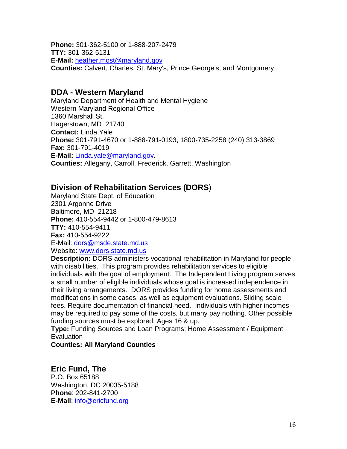**Phone:** 301-362-5100 or 1-888-207-2479 **TTY:** 301-362-5131 **E-Mail:** [heather.most@maryland.gov](mailto:heather.most@maryland.gov) **Counties:** Calvert, Charles, St. Mary's, Prince George's, and Montgomery

#### **DDA - Western Maryland**

Maryland Department of Health and Mental Hygiene Western Maryland Regional Office 1360 Marshall St. Hagerstown, MD 21740 **Contact:** Linda Yale **Phone:** 301-791-4670 or 1-888-791-0193, 1800-735-2258 (240) 313-3869 **Fax:** 301-791-4019 **E-Mail:** [Linda.yale@maryland.gov.](mailto:Linda.yale@maryland.gov) **Counties:** Allegany, Carroll, Frederick, Garrett, Washington

#### **Division of Rehabilitation Services (DORS**)

Maryland State Dept. of Education 2301 Argonne Drive Baltimore, MD 21218 **Phone:** 410-554-9442 or 1-800-479-8613 **TTY:** 410-554-9411 **Fax:** 410-554-9222 E-Mail: [dors@msde.state.md.us](mailto:dors@msde.state.md.us) Website: [www.dors.state.md.us](http://www.dors.state.md.us/)

**Description:** DORS administers vocational rehabilitation in Maryland for people with disabilities. This program provides rehabilitation services to eligible individuals with the goal of employment. The Independent Living program serves a small number of eligible individuals whose goal is increased independence in their living arrangements. DORS provides funding for home assessments and modifications in some cases, as well as equipment evaluations. Sliding scale fees. Require documentation of financial need. Individuals with higher incomes may be required to pay some of the costs, but many pay nothing. Other possible funding sources must be explored. Ages 16 & up.

**Type:** Funding Sources and Loan Programs; Home Assessment / Equipment **Evaluation** 

**Counties: All Maryland Counties**

**Eric Fund, The** P.O. Box 65188 Washington, DC 20035-5188 **Phone**: 202-841-2700 **E-Mail**: [info@ericfund.org](mailto:info@ericfund.org)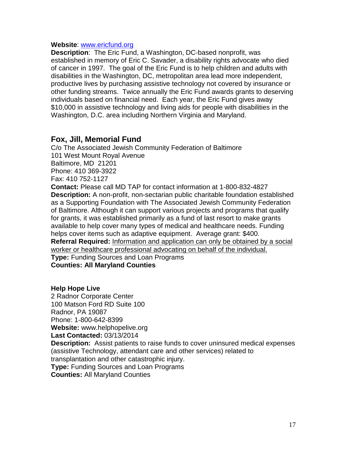#### **Website**: [www.ericfund.org](http://www.ericfund.org/)

**Description**: The Eric Fund, a Washington, DC-based nonprofit, was established in memory of Eric C. Savader, a disability rights advocate who died of cancer in 1997. The goal of the Eric Fund is to help children and adults with disabilities in the Washington, DC, metropolitan area lead more independent, productive lives by purchasing assistive technology not covered by insurance or other funding streams. Twice annually the Eric Fund awards grants to deserving individuals based on financial need. Each year, the Eric Fund gives away \$10,000 in assistive technology and living aids for people with disabilities in the Washington, D.C. area including Northern Virginia and Maryland.

#### **Fox, Jill, Memorial Fund**

C/o The Associated Jewish Community Federation of Baltimore 101 West Mount Royal Avenue Baltimore, MD 21201 Phone: 410 369-3922 Fax: 410 752-1127 **Contact:** Please call MD TAP for contact information at 1-800-832-4827 **Description:** A non-profit, non-sectarian public charitable foundation established as a Supporting Foundation with The Associated Jewish Community Federation of Baltimore. Although it can support various projects and programs that qualify

for grants, it was established primarily as a fund of last resort to make grants available to help cover many types of medical and healthcare needs. Funding helps cover items such as adaptive equipment. Average grant: \$400. **Referral Required:** Information and application can only be obtained by a social worker or healthcare professional advocating on behalf of the individual.

**Type:** Funding Sources and Loan Programs **Counties: All Maryland Counties**

#### **Help Hope Live**

2 Radnor Corporate Center 100 Matson Ford RD Suite 100 Radnor, PA 19087 Phone: 1-800-642-8399 **Website:** www.helphopelive.org **Last Contacted:** 03/13/2014 **Description:** Assist patients to raise funds to cover uninsured medical expenses (assistive Technology, attendant care and other services) related to transplantation and other catastrophic injury. **Type:** Funding Sources and Loan Programs **Counties:** All Maryland Counties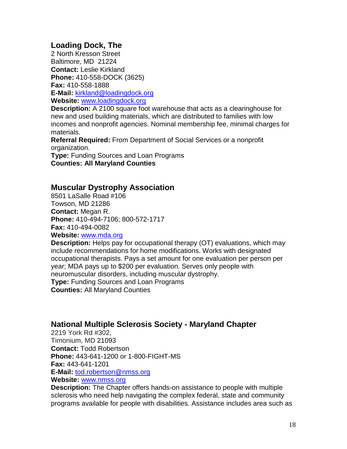#### **Loading Dock, The**

2 North Kresson Street Baltimore, MD 21224 **Contact:** Leslie Kirkland **Phone:** 410-558-DOCK (3625) **Fax:** 410-558-1888 **E-Mail:** [kirkland@loadingdock.org](mailto:kirkland@loadingdock.org) 

**Website:** [www.loadingdock.org](http://www.loadingdock.org/)

**Description:** A 2100 square foot warehouse that acts as a clearinghouse for new and used building materials, which are distributed to families with low incomes and nonprofit agencies. Nominal membership fee, minimal charges for materials.

**Referral Required:** From Department of Social Services or a nonprofit organization.

**Type:** Funding Sources and Loan Programs **Counties: All Maryland Counties**

#### **Muscular Dystrophy Association**

8501 LaSalle Road #106 Towson, MD 21286 **Contact:** Megan R. **Phone:** 410-494-7106; 800-572-1717 **Fax:** 410-494-0082

**Website:** [www.mda.org](http://www.mda.org/)

**Description:** Helps pay for occupational therapy (OT) evaluations, which may include recommendations for home modifications. Works with designated occupational therapists. Pays a set amount for one evaluation per person per year; MDA pays up to \$200 per evaluation. Serves only people with neuromuscular disorders, including muscular dystrophy. **Type:** Funding Sources and Loan Programs

**Counties:** All Maryland Counties

#### **National Multiple Sclerosis Society - Maryland Chapter**

2219 York Rd #302, Timonium, MD 21093 **Contact:** Todd Robertson **Phone:** 443-641-1200 or 1-800-FIGHT-MS **Fax:** 443-641-1201 **E-Mail:** [tod.robertson@nmss.org](mailto:tod.robertson@nmss.org)

#### **Website:** [www.nmss.org](http://www.nmss.org/)

**Description:** The Chapter offers hands-on assistance to people with multiple sclerosis who need help navigating the complex federal, state and community programs available for people with disabilities. Assistance includes area such as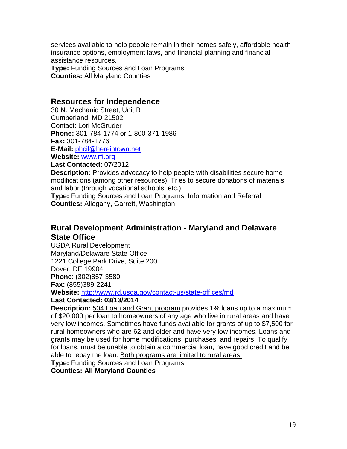services available to help people remain in their homes safely, affordable health insurance options, employment laws, and financial planning and financial assistance resources.

**Type:** Funding Sources and Loan Programs **Counties:** All Maryland Counties

#### **Resources for Independence**

30 N. Mechanic Street, Unit B Cumberland, MD 21502 Contact: Lori McGruder **Phone:** 301-784-1774 or 1-800-371-1986 **Fax:** 301-784-1776 **E-Mail:** [phcil@hereintown.net](mailto:phcil@hereintown.net) **Website:** [www.rfi.org](http://www.rfi.org/)

**Last Contacted:** 07/2012

**Description:** Provides advocacy to help people with disabilities secure home modifications (among other resources). Tries to secure donations of materials and labor (through vocational schools, etc.).

**Type:** Funding Sources and Loan Programs; Information and Referral **Counties:** Allegany, Garrett, Washington

#### **Rural Development Administration - Maryland and Delaware State Office**

USDA Rural Development Maryland/Delaware State Office 1221 College Park Drive, Suite 200 Dover, DE 19904 **Phone**: (302)857-3580 **Fax:** (855)389-2241

**Website:** <http://www.rd.usda.gov/contact-us/state-offices/md>

#### **Last Contacted: 03/13/2014**

**Description:** 504 Loan and Grant program provides 1% loans up to a maximum of \$20,000 per loan to homeowners of any age who live in rural areas and have very low incomes. Sometimes have funds available for grants of up to \$7,500 for rural homeowners who are 62 and older and have very low incomes. Loans and grants may be used for home modifications, purchases, and repairs. To qualify for loans, must be unable to obtain a commercial loan, have good credit and be able to repay the loan. Both programs are limited to rural areas.

**Type:** Funding Sources and Loan Programs

#### **Counties: All Maryland Counties**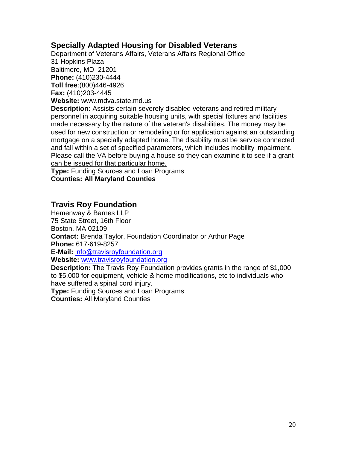#### **Specially Adapted Housing for Disabled Veterans**

Department of Veterans Affairs, Veterans Affairs Regional Office 31 Hopkins Plaza Baltimore, MD 21201 **Phone:** (410)230-4444 **Toll free**:(800)446-4926 **Fax:** (410)203-4445 **Website:** www.mdva.state.md.us **Description:** Assists certain severely disabled veterans and retired military

personnel in acquiring suitable housing units, with special fixtures and facilities made necessary by the nature of the veteran's disabilities. The money may be used for new construction or remodeling or for application against an outstanding mortgage on a specially adapted home. The disability must be service connected and fall within a set of specified parameters, which includes mobility impairment. Please call the VA before buying a house so they can examine it to see if a grant can be issued for that particular home.

**Type:** Funding Sources and Loan Programs **Counties: All Maryland Counties**

#### **Travis Roy Foundation**

Hemenway & Barnes LLP 75 State Street, 16th Floor Boston, MA 02109 **Contact:** Brenda Taylor, Foundation Coordinator or Arthur Page **Phone:** 617-619-8257 **E-Mail:** [info@travisroyfoundation.org](mailto:info@travisroyfoundation.org) **Website:** [www.travisroyfoundation.org](http://www.travisroyfoundation.org/) **Description:** The Travis Roy Foundation provides grants in the range of \$1,000

to \$5,000 for equipment, vehicle & home modifications, etc to individuals who have suffered a spinal cord injury.

**Type:** Funding Sources and Loan Programs

**Counties:** All Maryland Counties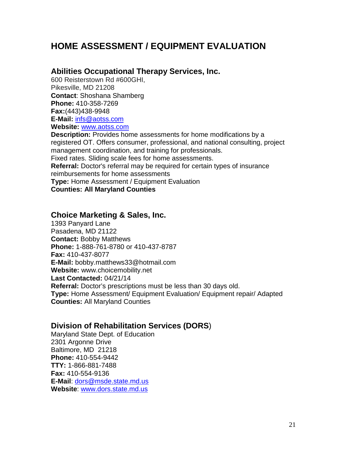## **HOME ASSESSMENT / EQUIPMENT EVALUATION**

#### **Abilities Occupational Therapy Services, Inc.**

600 Reisterstown Rd #600GHI, Pikesville, MD 21208 **Contact**: Shoshana Shamberg **Phone:** 410-358-7269 **Fax:**(443)438-9948 **E-Mail:** [infs@aotss.com](mailto:infs@aotss.com) **Website:** [www.aotss.com](http://www.aotss.com/)

**Description:** Provides home assessments for home modifications by a registered OT. Offers consumer, professional, and national consulting, project management coordination, and training for professionals. Fixed rates. Sliding scale fees for home assessments. **Referral:** Doctor's referral may be required for certain types of insurance reimbursements for home assessments **Type:** Home Assessment / Equipment Evaluation

**Counties: All Maryland Counties**

#### **Choice Marketing & Sales, Inc.**

1393 Panyard Lane Pasadena, MD 21122 **Contact:** Bobby Matthews **Phone:** 1-888-761-8780 or 410-437-8787 **Fax:** 410-437-8077 **E-Mail:** bobby.matthews33@hotmail.com **Website:** www.choicemobility.net **Last Contacted:** 04/21/14 **Referral:** Doctor's prescriptions must be less than 30 days old. **Type:** Home Assessment/ Equipment Evaluation/ Equipment repair/ Adapted **Counties:** All Maryland Counties

#### **Division of Rehabilitation Services (DORS**)

Maryland State Dept. of Education 2301 Argonne Drive Baltimore, MD 21218 **Phone:** 410-554-9442 **TTY:** 1-866-881-7488 **Fax:** 410-554-9136 **E-Mail**: [dors@msde.state.md.us](mailto:dors@msde.state.md.us) **Website**: [www.dors.state.md.us](http://www.dors.state.md.us/)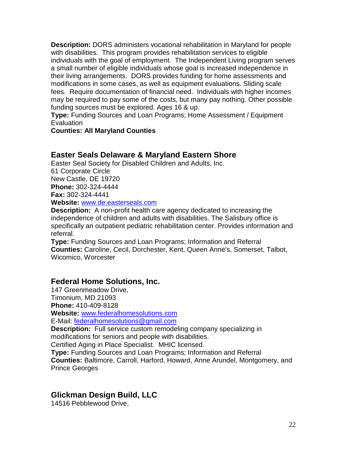**Description:** DORS administers vocational rehabilitation in Maryland for people with disabilities. This program provides rehabilitation services to eligible individuals with the goal of employment. The Independent Living program serves a small number of eligible individuals whose goal is increased independence in their living arrangements. DORS provides funding for home assessments and modifications in some cases, as well as equipment evaluations. Sliding scale fees. Require documentation of financial need. Individuals with higher incomes may be required to pay some of the costs, but many pay nothing. Other possible funding sources must be explored. Ages 16 & up.

**Type:** Funding Sources and Loan Programs; Home Assessment / Equipment **Evaluation** 

#### **Counties: All Maryland Counties**

#### **Easter Seals Delaware & Maryland Eastern Shore**

Easter Seal Society for Disabled Children and Adults, Inc. 61 Corporate Circle New Castle, DE 19720 **Phone:** 302-324-4444 **Fax:** 302-324-4441 **Website:** [www.de.easterseals.com](http://www.de.easterseals.com/)

**Description:** A non-profit health care agency dedicated to increasing the independence of children and adults with disabilities. The Salisbury office is specifically an outpatient pediatric rehabilitation center. Provides information and referral.

**Type:** Funding Sources and Loan Programs; Information and Referral **Counties:** Caroline, Cecil, Dorchester, Kent, Queen Anne's, Somerset, Talbot, Wicomico, Worcester

#### **Federal Home Solutions, Inc.**

147 Greenmeadow Drive, Timonium, MD 21093 **Phone:** 410-409-8128 **Website:** [www.federalhomesolutions.com](http://www.federalhomesolutions.com/) E-Mail: [federalhomesolutions@gmail.com](mailto:federalhomesolutions@gmail.com) **Description:** Full service custom remodeling company specializing in modifications for seniors and people with disabilities. Certified Aging in Place Specialist. MHIC licensed. **Type:** Funding Sources and Loan Programs; Information and Referral

**Counties:** Baltimore, Carroll, Harford, Howard, Anne Arundel, Montgomery, and Prince Georges

#### **Glickman Design Build, LLC**

14516 Pebblewood Drive,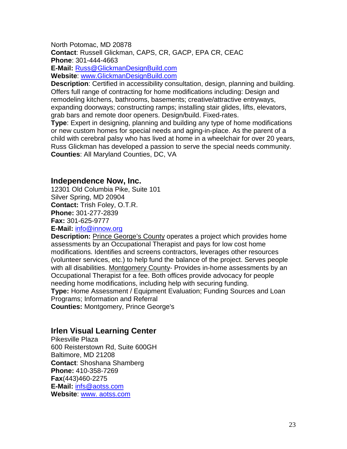North Potomac, MD 20878 **Contact**: Russell Glickman, CAPS, CR, GACP, EPA CR, CEAC **Phone**: 301-444-4663 **E-Mail:** [Russ@GlickmanDesignBuild.com](mailto:Russ@GlickmanDesignBuild.com)

**Website**: [www.GlickmanDesignBuild.com](http://www.glickmandesignbuild.com/)

**Description**: Certified in accessibility consultation, design, planning and building. Offers full range of contracting for home modifications including: Design and remodeling kitchens, bathrooms, basements; creative/attractive entryways, expanding doorways; constructing ramps; installing stair glides, lifts, elevators, grab bars and remote door openers. Design/build. Fixed-rates.

**Type**: Expert in designing, planning and building any type of home modifications or new custom homes for special needs and aging-in-place. As the parent of a child with cerebral palsy who has lived at home in a wheelchair for over 20 years, Russ Glickman has developed a passion to serve the special needs community. **Counties**: All Maryland Counties, DC, VA

#### **Independence Now, Inc.**

12301 Old Columbia Pike, Suite 101 Silver Spring, MD 20904 **Contact:** Trish Foley, O.T.R. **Phone:** 301-277-2839 **Fax:** 301-625-9777

**E-Mail:** [info@innow.org](mailto:info@innow.org)

**Description:** Prince George's County operates a project which provides home assessments by an Occupational Therapist and pays for low cost home modifications. Identifies and screens contractors, leverages other resources (volunteer services, etc.) to help fund the balance of the project. Serves people with all disabilities. Montgomery County- Provides in-home assessments by an Occupational Therapist for a fee. Both offices provide advocacy for people needing home modifications, including help with securing funding.

**Type:** Home Assessment / Equipment Evaluation; Funding Sources and Loan Programs; Information and Referral

**Counties:** Montgomery, Prince George's

#### **Irlen Visual Learning Center**

Pikesville Plaza 600 Reisterstown Rd, Suite 600GH Baltimore, MD 21208 **Contact**: Shoshana Shamberg **Phone:** 410-358-7269 **Fax**(443)460-2275 **E-Mail:** [infs@aotss.com](mailto:infs@aotss.com) **Website**: www. [aotss.com](http://www.irlenvlcmd.com/)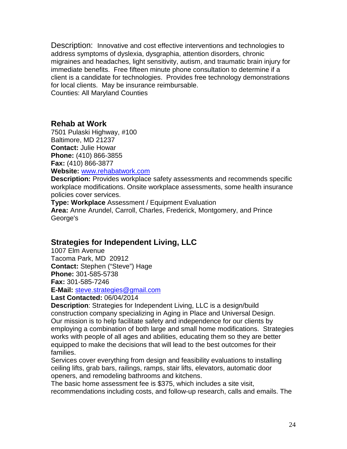Description: Innovative and cost effective interventions and technologies to address symptoms of dyslexia, dysgraphia, attention disorders, chronic migraines and headaches, light sensitivity, autism, and traumatic brain injury for immediate benefits. Free fifteen minute phone consultation to determine if a client is a candidate for technologies. Provides free technology demonstrations for local clients. May be insurance reimbursable. Counties: All Maryland Counties

#### **Rehab at Work**

7501 Pulaski Highway, #100 Baltimore, MD 21237 **Contact:** Julie Howar **Phone:** (410) 866-3855 **Fax:** (410) 866-3877 **Website:** [www.rehabatwork.com](http://www.rehabatwork.com/)

**Description:** Provides workplace safety assessments and recommends specific workplace modifications. Onsite workplace assessments, some health insurance policies cover services.

**Type: Workplace** Assessment / Equipment Evaluation **Area:** Anne Arundel, Carroll, Charles, Frederick, Montgomery, and Prince George's

#### **Strategies for Independent Living, LLC**

1007 Elm Avenue Tacoma Park, MD 20912 **Contact:** Stephen ("Steve") Hage **Phone:** 301-585-5738 **Fax:** 301-585-7246 **E-Mail:** [steve.strategies@gmail.com](mailto:steve.strategies@gmail.com)

**Last Contacted:** 06/04/2014

**Description**: Strategies for Independent Living, LLC is a design/build construction company specializing in Aging in Place and Universal Design. Our mission is to help facilitate safety and independence for our clients by employing a combination of both large and small home modifications. Strategies works with people of all ages and abilities, educating them so they are better equipped to make the decisions that will lead to the best outcomes for their families.

Services cover everything from design and feasibility evaluations to installing ceiling lifts, grab bars, railings, ramps, stair lifts, elevators, automatic door openers, and remodeling bathrooms and kitchens.

The basic home assessment fee is \$375, which includes a site visit, recommendations including costs, and follow-up research, calls and emails. The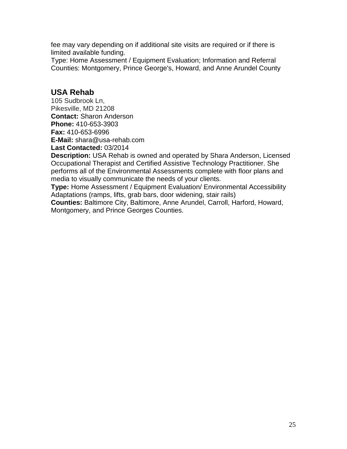fee may vary depending on if additional site visits are required or if there is limited available funding.

Type: Home Assessment / Equipment Evaluation; Information and Referral Counties: Montgomery, Prince George's, Howard, and Anne Arundel County

#### **USA Rehab**

105 Sudbrook Ln, Pikesville, MD 21208 **Contact:** Sharon Anderson **Phone:** 410-653-3903 **Fax:** 410-653-6996 **E-Mail:** shara@usa-rehab.com **Last Contacted:** 03/2014

**Description:** USA Rehab is owned and operated by Shara Anderson, Licensed Occupational Therapist and Certified Assistive Technology Practitioner. She performs all of the Environmental Assessments complete with floor plans and media to visually communicate the needs of your clients.

**Type:** Home Assessment / Equipment Evaluation/ Environmental Accessibility Adaptations (ramps, lifts, grab bars, door widening, stair rails)

**Counties:** Baltimore City, Baltimore, Anne Arundel, Carroll, Harford, Howard, Montgomery, and Prince Georges Counties.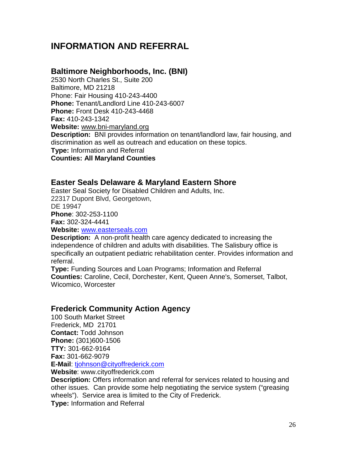## **INFORMATION AND REFERRAL**

#### **Baltimore Neighborhoods, Inc. (BNI)**

2530 North Charles St., Suite 200 Baltimore, MD 21218 Phone: Fair Housing 410-243-4400 **Phone:** Tenant/Landlord Line 410-243-6007 **Phone:** Front Desk 410-243-4468 **Fax:** 410-243-1342 **Website:** [www.bni-maryland.org](http://www.bni-maryland.org/)  **Description:** BNI provides information on tenant/landlord law, fair housing, and discrimination as well as outreach and education on these topics. **Type:** Information and Referral **Counties: All Maryland Counties**

#### **Easter Seals Delaware & Maryland Eastern Shore**

Easter Seal Society for Disabled Children and Adults, Inc. 22317 Dupont Blvd, Georgetown, DE 19947 **Phone**: 302-253-1100 **Fax:** 302-324-4441

**Website:** [www.easterseals.com](http://www.easterseals.com/)

**Description:** A non-profit health care agency dedicated to increasing the independence of children and adults with disabilities. The Salisbury office is specifically an outpatient pediatric rehabilitation center. Provides information and referral.

**Type:** Funding Sources and Loan Programs; Information and Referral **Counties:** Caroline, Cecil, Dorchester, Kent, Queen Anne's, Somerset, Talbot, Wicomico, Worcester

#### **Frederick Community Action Agency**

100 South Market Street Frederick, MD 21701 **Contact:** Todd Johnson **Phone:** (301)600-1506 **TTY:** 301-662-9164 **Fax:** 301-662-9079 **E-Mail**: [tjohnson@cityoffrederick.com](mailto:%20tjohnson@cityoffrederick.com) 

**Website**: www.cityoffrederick.com

**Description:** Offers information and referral for services related to housing and other issues. Can provide some help negotiating the service system ("greasing wheels"). Service area is limited to the City of Frederick.

**Type:** Information and Referral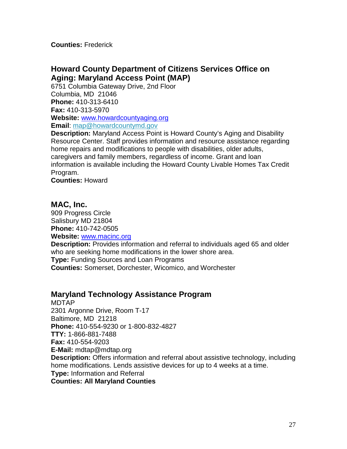**Counties:** Frederick

#### **Howard County Department of Citizens Services Office on Aging: Maryland Access Point (MAP)**

6751 Columbia Gateway Drive, 2nd Floor Columbia, MD 21046 **Phone:** 410-313-6410 **Fax:** 410-313-5970 **Website:** [www.howardcountyaging.org](http://www.howardcountyaging.org/) **Email**: [map@howardcountymd.gov](mailto:map@howardcountymd.gov?subject=Email%20the%20Office%20on%20Aging)

**Description:** Maryland Access Point is Howard County's Aging and Disability Resource Center. Staff provides information and resource assistance regarding home repairs and modifications to people with disabilities, older adults, caregivers and family members, regardless of income. Grant and loan information is available including the Howard County Livable Homes Tax Credit Program.

**Counties:** Howard

#### **MAC, Inc.**

909 Progress Circle Salisbury MD 21804 **Phone:** 410-742-0505 **Website:** [www.macinc.org](http://www.macinc.org/)

**Description:** Provides information and referral to individuals aged 65 and older who are seeking home modifications in the lower shore area.

**Type:** Funding Sources and Loan Programs

**Counties:** Somerset, Dorchester, Wicomico, and Worchester

#### **Maryland Technology Assistance Program**

MDTAP 2301 Argonne Drive, Room T-17 Baltimore, MD 21218 **Phone:** 410-554-9230 or 1-800-832-4827 **TTY:** 1-866-881-7488 **Fax:** 410-554-9203 **E-Mail:** mdtap@mdtap.org **Description:** Offers information and referral about assistive technology, including home modifications. Lends assistive devices for up to 4 weeks at a time. **Type:** Information and Referral **Counties: All Maryland Counties**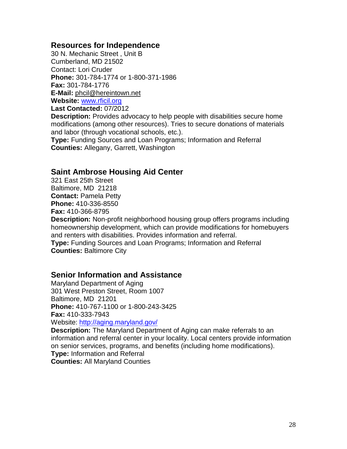#### **Resources for Independence**

30 N. Mechanic Street , Unit B Cumberland, MD 21502 Contact: Lori Cruder **Phone:** 301-784-1774 or 1-800-371-1986 **Fax:** 301-784-1776 **E-Mail:** [phcil@hereintown.net](mailto:phcil@hereintown.net) **Website:** [www.rficil.org](http://www.rficil.org/) **Last Contacted:** 07/2012

**Description:** Provides advocacy to help people with disabilities secure home modifications (among other resources). Tries to secure donations of materials and labor (through vocational schools, etc.).

**Type:** Funding Sources and Loan Programs; Information and Referral **Counties:** Allegany, Garrett, Washington

#### **Saint Ambrose Housing Aid Center**

321 East 25th Street Baltimore, MD 21218 **Contact:** Pamela Petty **Phone:** 410-336-8550 **Fax:** 410-366-8795

**Description:** Non-profit neighborhood housing group offers programs including homeownership development, which can provide modifications for homebuyers and renters with disabilities. Provides information and referral.

**Type:** Funding Sources and Loan Programs; Information and Referral **Counties:** Baltimore City

#### **Senior Information and Assistance**

Maryland Department of Aging 301 West Preston Street, Room 1007 Baltimore, MD 21201 **Phone:** 410-767-1100 or 1-800-243-3425 **Fax:** 410-333-7943 Website:<http://aging.maryland.gov/>

**Description:** The Maryland Department of Aging can make referrals to an information and referral center in your locality. Local centers provide information on senior services, programs, and benefits (including home modifications). **Type:** Information and Referral **Counties:** All Maryland Counties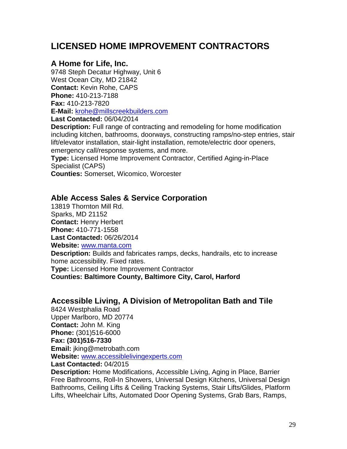## **LICENSED HOME IMPROVEMENT CONTRACTORS**

#### **A Home for Life, Inc.**

9748 Steph Decatur Highway, Unit 6 West Ocean City, MD 21842 **Contact:** Kevin Rohe, CAPS **Phone:** 410-213-7188 **Fax:** 410-213-7820 **E-Mail:** [krohe@millscreekbuilders.com](mailto:krohe@millscreekbuilders.com) **Last Contacted:** 06/04/2014

**Description:** Full range of contracting and remodeling for home modification including kitchen, bathrooms, doorways, constructing ramps/no-step entries, stair lift/elevator installation, stair-light installation, remote/electric door openers, emergency call/response systems, and more.

**Type:** Licensed Home Improvement Contractor, Certified Aging-in-Place Specialist (CAPS)

**Counties:** Somerset, Wicomico, Worcester

#### **Able Access Sales & Service Corporation**

13819 Thornton Mill Rd. Sparks, MD 21152 **Contact:** Henry Herbert **Phone:** 410-771-1558 **Last Contacted:** 06/26/2014 **Website:** [www.manta.com](http://www.manta.com/) **Description:** Builds and fabricates ramps, decks, handrails, etc to increase home accessibility. Fixed rates. **Type:** Licensed Home Improvement Contractor **Counties: Baltimore County, Baltimore City, Carol, Harford**

#### **Accessible Living, A Division of Metropolitan Bath and Tile**

8424 Westphalia Road Upper Marlboro, MD 20774 **Contact:** John M. King **Phone:** (301)516-6000 **Fax: (301)516-7330 Email:** jking@metrobath.com **Website:** [www.accessiblelivingexperts.com](http://www.accessiblelivingexperts.com/)

**Last Contacted:** 04/2015

**Description:** Home Modifications, Accessible Living, Aging in Place, Barrier Free Bathrooms, Roll-In Showers, Universal Design Kitchens, Universal Design Bathrooms, Ceiling Lifts & Ceiling Tracking Systems, Stair Lifts/Glides, Platform Lifts, Wheelchair Lifts, Automated Door Opening Systems, Grab Bars, Ramps,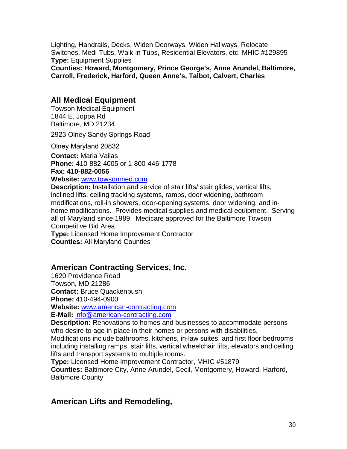Lighting, Handrails, Decks, Widen Doorways, Widen Hallways, Relocate Switches, Medi-Tubs, Walk-in Tubs, Residential Elevators, etc. MHIC #129895 **Type:** Equipment Supplies

**Counties: Howard, Montgomery, Prince George's, Anne Arundel, Baltimore, Carroll, Frederick, Harford, Queen Anne's, Talbot, Calvert, Charles**

#### **All Medical Equipment**

Towson Medical Equipment 1844 E. Joppa Rd Baltimore, MD 21234

2923 Olney Sandy Springs Road

Olney Maryland 20832

**Contact:** Maria Vailas **Phone:** 410-882-4005 or 1-800-446-1778

**Fax: 410-882-0056**

**Website:** [www.towsonmed.com](http://www.towsonmed.com/)

**Description:** Installation and service of stair lifts/ stair glides, vertical lifts, inclined lifts, ceiling tracking systems, ramps, door widening, bathroom modifications, roll-in showers, door-opening systems, door widening, and inhome modifications. Provides medical supplies and medical equipment. Serving all of Maryland since 1989. Medicare approved for the Baltimore Towson Competitive Bid Area.

**Type:** Licensed Home Improvement Contractor **Counties:** All Maryland Counties

#### **American Contracting Services, Inc.**

1620 Providence Road Towson, MD 21286 **Contact:** Bruce Quackenbush

**Phone:** 410-494-0900

**Website:** [www.american-contracting.com](http://www.american-contracting.com/)

**E-Mail:** [info@american-contracting.com](mailto:info@american-contracting.com)

**Description:** Renovations to homes and businesses to accommodate persons who desire to age in place in their homes or persons with disabilities.

Modifications include bathrooms, kitchens, in-law suites, and first floor bedrooms including installing ramps, stair lifts, vertical wheelchair lifts, elevators and ceiling lifts and transport systems to multiple rooms.

**Type:** Licensed Home Improvement Contractor, MHIC #51879

**Counties:** Baltimore City, Anne Arundel, Cecil, Montgomery, Howard, Harford, Baltimore County

#### **American Lifts and Remodeling,**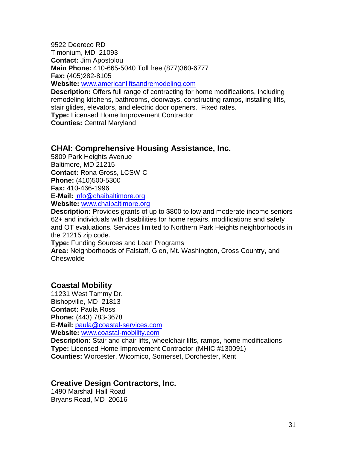9522 Deereco RD Timonium, MD 21093 **Contact:** Jim Apostolou **Main Phone:** 410-665-5040 Toll free (877)360-6777 **Fax:** (405)282-8105

**Website:** [www.americanliftsandremodeling.com](http://www.americanliftsandremodeling.com/)

**Description:** Offers full range of contracting for home modifications, including remodeling kitchens, bathrooms, doorways, constructing ramps, installing lifts, stair glides, elevators, and electric door openers. Fixed rates.

**Type:** Licensed Home Improvement Contractor

**Counties:** Central Maryland

#### **CHAI: Comprehensive Housing Assistance, Inc.**

5809 Park Heights Avenue Baltimore, MD 21215 **Contact:** Rona Gross, LCSW-C **Phone:** (410)500-5300 **Fax:** 410-466-1996 **E-Mail:** [info@chaibaltimore.org](mailto:info@chaibaltimore.org) 

**Website:** [www.chaibaltimore.org](http://www.chaibaltimore.org/)

**Description:** Provides grants of up to \$800 to low and moderate income seniors 62+ and individuals with disabilities for home repairs, modifications and safety and OT evaluations. Services limited to Northern Park Heights neighborhoods in the 21215 zip code.

**Type:** Funding Sources and Loan Programs

**Area:** Neighborhoods of Falstaff, Glen, Mt. Washington, Cross Country, and **Cheswolde** 

#### **Coastal Mobility**

11231 West Tammy Dr. Bishopville, MD 21813 **Contact:** Paula Ross **Phone:** (443) 783-3678 **E-Mail:** [paula@coastal-services.com](mailto:paula@coastal-services.com) **Website:** [www.coastal-mobility.com](http://www.coastal-mobility.com/)

**Description:** Stair and chair lifts, wheelchair lifts, ramps, home modifications **Type:** Licensed Home Improvement Contractor (MHIC #130091) **Counties:** Worcester, Wicomico, Somerset, Dorchester, Kent

#### **Creative Design Contractors, Inc.**

1490 Marshall Hall Road Bryans Road, MD 20616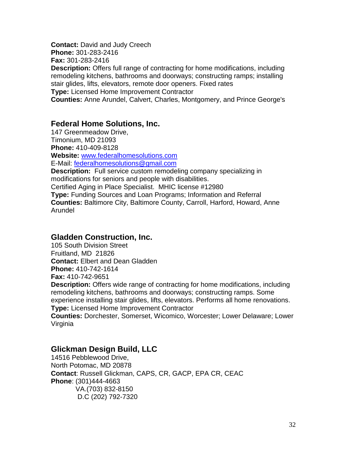**Contact:** David and Judy Creech **Phone:** 301-283-2416 **Fax:** 301-283-2416 **Description:** Offers full range of contracting for home modifications, including remodeling kitchens, bathrooms and doorways; constructing ramps; installing stair glides, lifts, elevators, remote door openers. Fixed rates **Type:** Licensed Home Improvement Contractor **Counties:** Anne Arundel, Calvert, Charles, Montgomery, and Prince George's

#### **Federal Home Solutions, Inc.**

147 Greenmeadow Drive, Timonium, MD 21093 **Phone:** 410-409-8128

**Website:** [www.federalhomesolutions.com](http://www.federalhomesolutions.com/)

E-Mail: [federalhomesolutions@gmail.com](mailto:federalhomesolutions@gmail.com)

**Description:** Full service custom remodeling company specializing in modifications for seniors and people with disabilities.

Certified Aging in Place Specialist. MHIC license #12980

**Type:** Funding Sources and Loan Programs; Information and Referral **Counties:** Baltimore City, Baltimore County, Carroll, Harford, Howard, Anne Arundel

#### **Gladden Construction, Inc.**

105 South Division Street Fruitland, MD 21826 **Contact:** Elbert and Dean Gladden **Phone:** 410-742-1614 **Fax:** 410-742-9651

**Description:** Offers wide range of contracting for home modifications, including remodeling kitchens, bathrooms and doorways; constructing ramps. Some experience installing stair glides, lifts, elevators. Performs all home renovations. **Type:** Licensed Home Improvement Contractor

**Counties:** Dorchester, Somerset, Wicomico, Worcester; Lower Delaware; Lower Virginia

#### **Glickman Design Build, LLC**

14516 Pebblewood Drive, North Potomac, MD 20878 **Contact**: Russell Glickman, CAPS, CR, GACP, EPA CR, CEAC **Phone**: (301)444-4663 VA.(703) 832-8150 D.C (202) 792-7320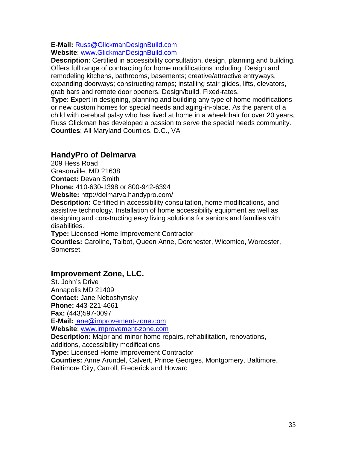#### **E-Mail:** [Russ@GlickmanDesignBuild.com](mailto:Russ@GlickmanDesignBuild.com)

**Website**: [www.GlickmanDesignBuild.com](http://www.glickmandesignbuild.com/)

**Description**: Certified in accessibility consultation, design, planning and building. Offers full range of contracting for home modifications including: Design and remodeling kitchens, bathrooms, basements; creative/attractive entryways, expanding doorways; constructing ramps; installing stair glides, lifts, elevators, grab bars and remote door openers. Design/build. Fixed-rates.

**Type**: Expert in designing, planning and building any type of home modifications or new custom homes for special needs and aging-in-place. As the parent of a child with cerebral palsy who has lived at home in a wheelchair for over 20 years, Russ Glickman has developed a passion to serve the special needs community. **Counties**: All Maryland Counties, D.C., VA

#### **HandyPro of Delmarva**

209 Hess Road Grasonville, MD 21638 **Contact:** Devan Smith **Phone:** 410-630-1398 or 800-942-6394 **Website:** http://delmarva.handypro.com/

**Description:** Certified in accessibility consultation, home modifications, and assistive technology. Installation of home accessibility equipment as well as designing and constructing easy living solutions for seniors and families with disabilities.

**Type:** Licensed Home Improvement Contractor

**Counties:** Caroline, Talbot, Queen Anne, Dorchester, Wicomico, Worcester, Somerset.

#### **Improvement Zone, LLC.**

St. John's Drive Annapolis MD 21409 **Contact:** Jane Neboshynsky **Phone:** 443-221-4661 **Fax:** (443)597-0097 **E-Mail:** [jane@improvement-zone.com](mailto:jane@improvement-zone.com) **Website**: [www.improvement-zone.com](http://www.improvement-zone.com/) **Description:** Major and minor home repairs, rehabilitation, renovations, additions, accessibility modifications **Type:** Licensed Home Improvement Contractor **Counties:** Anne Arundel, Calvert, Prince Georges, Montgomery, Baltimore, Baltimore City, Carroll, Frederick and Howard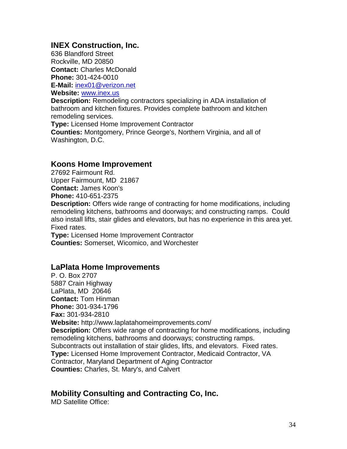#### **INEX Construction, Inc.**

636 Blandford Street Rockville, MD 20850 **Contact:** Charles McDonald **Phone:** 301-424-0010

**E-Mail:** [inex01@verizon.net](mailto:inex01@verizon.net)

**Website:** [www.inex.us](http://www.inex.us/)

**Description:** Remodeling contractors specializing in ADA installation of bathroom and kitchen fixtures. Provides complete bathroom and kitchen remodeling services.

**Type:** Licensed Home Improvement Contractor

**Counties:** Montgomery, Prince George's, Northern Virginia, and all of Washington, D.C.

#### **Koons Home Improvement**

27692 Fairmount Rd. Upper Fairmount, MD 21867 **Contact:** James Koon's **Phone:** 410-651-2375

**Description:** Offers wide range of contracting for home modifications, including remodeling kitchens, bathrooms and doorways; and constructing ramps. Could also install lifts, stair glides and elevators, but has no experience in this area yet. Fixed rates.

**Type:** Licensed Home Improvement Contractor **Counties:** Somerset, Wicomico, and Worchester

#### **LaPlata Home Improvements**

P. O. Box 2707 5887 Crain Highway LaPlata, MD 20646 **Contact:** Tom Hinman **Phone:** 301-934-1796 **Fax:** 301-934-2810 **Website:** http://www.laplatahomeimprovements.com/ **Description:** Offers wide range of contracting for home modifications, including remodeling kitchens, bathrooms and doorways; constructing ramps. Subcontracts out installation of stair glides, lifts, and elevators. Fixed rates. **Type:** Licensed Home Improvement Contractor, Medicaid Contractor, VA Contractor, Maryland Department of Aging Contractor **Counties:** Charles, St. Mary's, and Calvert

#### **Mobility Consulting and Contracting Co, Inc.**

MD Satellite Office: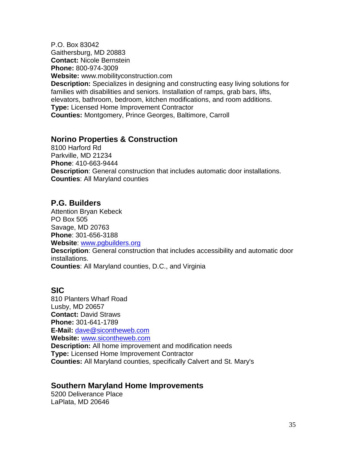P.O. Box 83042 Gaithersburg, MD 20883 **Contact:** Nicole Bernstein **Phone:** 800-974-3009 **Website:** www.mobilityconstruction.com **Description:** Specializes in designing and constructing easy living solutions for families with disabilities and seniors. Installation of ramps, grab bars, lifts, elevators, bathroom, bedroom, kitchen modifications, and room additions. **Type:** Licensed Home Improvement Contractor **Counties:** Montgomery, Prince Georges, Baltimore, Carroll

#### **Norino Properties & Construction**

8100 Harford Rd Parkville, MD 21234 **Phone**: 410-663-9444 **Description**: General construction that includes automatic door installations. **Counties**: All Maryland counties

#### **P.G. Builders**

Attention Bryan Kebeck PO Box 505 Savage, MD 20763 **Phone**: 301-656-3188 **Website**: [www.pgbuilders.org](http://www.pgbuilders.org/) **Description**: General construction that includes accessibility and automatic door installations. **Counties**: All Maryland counties, D.C., and Virginia

#### **SIC**

810 Planters Wharf Road Lusby, MD 20657 **Contact:** David Straws **Phone:** 301-641-1789 **E-Mail:** [dave@sicontheweb.com](mailto:dave@sicontheweb.com) **Website:** [www.sicontheweb.com](http://www.sicontheweb.com/) **Description:** All home improvement and modification needs **Type:** Licensed Home Improvement Contractor **Counties:** All Maryland counties, specifically Calvert and St. Mary's

#### **Southern Maryland Home Improvements**

5200 Deliverance Place LaPlata, MD 20646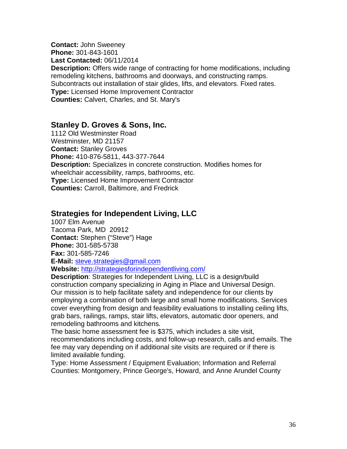**Contact:** John Sweeney **Phone:** 301-843-1601 **Last Contacted:** 06/11/2014 **Description:** Offers wide range of contracting for home modifications, including remodeling kitchens, bathrooms and doorways, and constructing ramps. Subcontracts out installation of stair glides, lifts, and elevators. Fixed rates. **Type:** Licensed Home Improvement Contractor **Counties:** Calvert, Charles, and St. Mary's

#### **Stanley D. Groves & Sons, Inc.**

1112 Old Westminster Road Westminster, MD 21157 **Contact:** Stanley Groves **Phone:** 410-876-5811, 443-377-7644 **Description:** Specializes in concrete construction. Modifies homes for wheelchair accessibility, ramps, bathrooms, etc. **Type:** Licensed Home Improvement Contractor **Counties:** Carroll, Baltimore, and Fredrick

#### **Strategies for Independent Living, LLC**

1007 Elm Avenue Tacoma Park, MD 20912 **Contact:** Stephen ("Steve") Hage **Phone:** 301-585-5738 **Fax:** 301-585-7246 **E-Mail:** [steve.strategies@gmail.com](mailto:steve.strategies@gmail.com)

**Website:** <http://strategiesforindependentliving.com/>

**Description**: Strategies for Independent Living, LLC is a design/build construction company specializing in Aging in Place and Universal Design. Our mission is to help facilitate safety and independence for our clients by employing a combination of both large and small home modifications. Services cover everything from design and feasibility evaluations to installing ceiling lifts, grab bars, railings, ramps, stair lifts, elevators, automatic door openers, and remodeling bathrooms and kitchens.

The basic home assessment fee is \$375, which includes a site visit, recommendations including costs, and follow-up research, calls and emails. The fee may vary depending on if additional site visits are required or if there is limited available funding.

Type: Home Assessment / Equipment Evaluation; Information and Referral Counties: Montgomery, Prince George's, Howard, and Anne Arundel County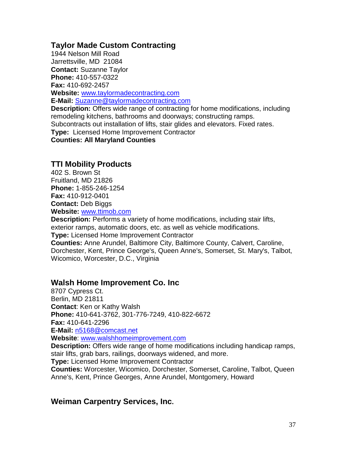#### **Taylor Made Custom Contracting**

1944 Nelson Mill Road Jarrettsville, MD 21084 **Contact:** Suzanne Taylor **Phone:** 410-557-0322 **Fax:** 410-692-2457 **Website:** [www.taylormadecontracting.com](http://www.taylormadecontracting.com/) **E-Mail:** [Suzanne@taylormadecontracting.com](mailto:Suzanne@taylormadecontracting.com) **Description:** Offers wide range of contracting for home modifications, including remodeling kitchens, bathrooms and doorways; constructing ramps. Subcontracts out installation of lifts, stair glides and elevators. Fixed rates. **Type:** Licensed Home Improvement Contractor **Counties: All Maryland Counties**

#### **TTI Mobility Products**

402 S. Brown St Fruitland, MD 21826 **Phone:** 1-855-246-1254 **Fax:** 410-912-0401 **Contact:** Deb Biggs **Website:** [www.ttimob.com](http://www.ttimob.com/)

**Description:** Performs a variety of home modifications, including stair lifts, exterior ramps, automatic doors, etc. as well as vehicle modifications. **Type:** Licensed Home Improvement Contractor **Counties:** Anne Arundel, Baltimore City, Baltimore County, Calvert, Caroline, Dorchester, Kent, Prince George's, Queen Anne's, Somerset, St. Mary's, Talbot, Wicomico, Worcester, D.C., Virginia

#### **Walsh Home Improvement Co. Inc**

8707 Cypress Ct. Berlin, MD 21811 **Contact**: Ken or Kathy Walsh **Phone:** 410-641-3762, 301-776-7249, 410-822-6672 **Fax:** 410-641-2296 **E-Mail:** [n5168@comcast.net](mailto:n5168@comcast.net) **Website**: [www.walshhomeimprovement.com](http://www.walshhomeimprovement.com/)

**Description:** Offers wide range of home modifications including handicap ramps, stair lifts, grab bars, railings, doorways widened, and more.

**Type:** Licensed Home Improvement Contractor

**Counties:** Worcester, Wicomico, Dorchester, Somerset, Caroline, Talbot, Queen Anne's, Kent, Prince Georges, Anne Arundel, Montgomery, Howard

#### **Weiman Carpentry Services, Inc.**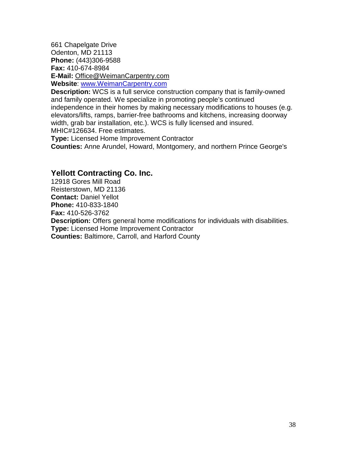661 Chapelgate Drive Odenton, MD 21113 **Phone:** (443)306-9588 **Fax:** 410-674-8984 **E-Mail:** [Office@WeimanCarpentry.com](mailto:Office@WeimanCarpentry.com) **Website**: [www.WeimanCarpentry.com](http://www.weimancarpentry.com/)

**Description:** WCS is a full service construction company that is family-owned and family operated. We specialize in promoting people's continued independence in their homes by making necessary modifications to houses (e.g. elevators/lifts, ramps, barrier-free bathrooms and kitchens, increasing doorway width, grab bar installation, etc.). WCS is fully licensed and insured. MHIC#126634. Free estimates.

**Type:** Licensed Home Improvement Contractor

**Counties:** Anne Arundel, Howard, Montgomery, and northern Prince George's

#### **Yellott Contracting Co. Inc.**

12918 Gores Mill Road Reisterstown, MD 21136 **Contact:** Daniel Yellot **Phone:** 410-833-1840 **Fax:** 410-526-3762 **Description:** Offers general home modifications for individuals with disabilities. **Type:** Licensed Home Improvement Contractor **Counties:** Baltimore, Carroll, and Harford County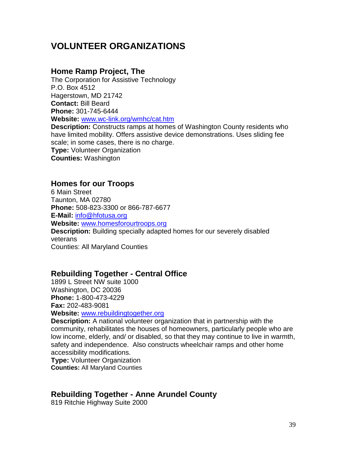## **VOLUNTEER ORGANIZATIONS**

#### **Home Ramp Project, The**

The Corporation for Assistive Technology P.O. Box 4512 Hagerstown, MD 21742 **Contact:** Bill Beard **Phone:** 301-745-6444 **Website:** [www.wc-link.org/wmhc/cat.htm](http://www.wc-link.org/wmhc/cat.htm)

**Description:** Constructs ramps at homes of Washington County residents who have limited mobility. Offers assistive device demonstrations. Uses sliding fee scale; in some cases, there is no charge. **Type:** Volunteer Organization **Counties:** Washington

#### **Homes for our Troops**

6 Main Street Taunton, MA 02780 **Phone:** 508-823-3300 or 866-787-6677 **E-Mail:** [info@hfotusa.org](mailto:info@hfotusa.org) **Website:** [www.homesforourtroops.org](http://www.homesforourtroops.org/) **Description:** Building specially adapted homes for our severely disabled veterans Counties: All Maryland Counties

#### **Rebuilding Together - Central Office**

1899 L Street NW suite 1000 Washington, DC 20036 **Phone:** 1-800-473-4229 **Fax:** 202-483-9081 **Website:** [www.rebuildingtogether.org](http://www.rebuildingtogether.org/)

**Description:** A national volunteer organization that in partnership with the community, rehabilitates the houses of homeowners, particularly people who are low income, elderly, and/ or disabled, so that they may continue to live in warmth, safety and independence. Also constructs wheelchair ramps and other home accessibility modifications.

**Type: Volunteer Organization Counties:** All Maryland Counties

#### **Rebuilding Together - Anne Arundel County**

819 Ritchie Highway Suite 2000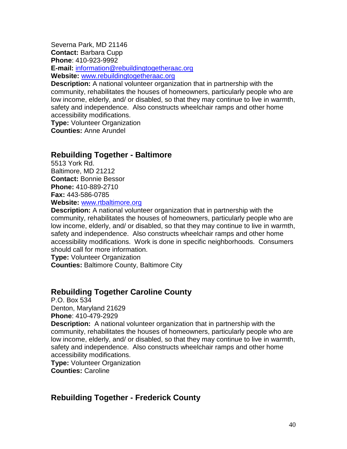Severna Park, MD 21146 **Contact:** Barbara Cupp **Phone**: 410-923-9992 **E-mail:** [information@rebuildingtogetheraac.org](mailto:information@rebuildingtogetheraac.org) **Website:** [www.rebuildingtogetheraac.org](http://www.rebuildingtogetheraac.org/)

**Description:** A national volunteer organization that in partnership with the community, rehabilitates the houses of homeowners, particularly people who are low income, elderly, and/ or disabled, so that they may continue to live in warmth, safety and independence. Also constructs wheelchair ramps and other home accessibility modifications.

**Type:** Volunteer Organization **Counties:** Anne Arundel

#### **Rebuilding Together - Baltimore**

5513 York Rd. Baltimore, MD 21212 **Contact:** Bonnie Bessor **Phone:** 410-889-2710 **Fax:** 443-586-0785

**Website:** [www.rtbaltimore.org](http://www.rtbaltimore.org/)

**Description:** A national volunteer organization that in partnership with the community, rehabilitates the houses of homeowners, particularly people who are low income, elderly, and/ or disabled, so that they may continue to live in warmth, safety and independence. Also constructs wheelchair ramps and other home accessibility modifications. Work is done in specific neighborhoods. Consumers should call for more information.

**Type:** Volunteer Organization **Counties:** Baltimore County, Baltimore City

#### **Rebuilding Together Caroline County**

P.O. Box 534 Denton, Maryland 21629 **Phone**: 410-479-2929

**Description:** A national volunteer organization that in partnership with the community, rehabilitates the houses of homeowners, particularly people who are low income, elderly, and/ or disabled, so that they may continue to live in warmth, safety and independence. Also constructs wheelchair ramps and other home accessibility modifications.

**Type: Volunteer Organization Counties:** Caroline

#### **Rebuilding Together - Frederick County**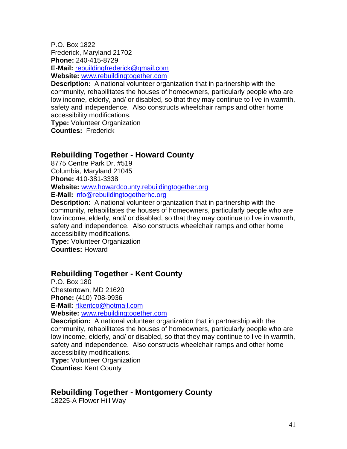P.O. Box 1822 Frederick, Maryland 21702 **Phone:** 240-415-8729 **E-Mail:** [rebuildingfrederick@gmail.com](mailto:rebuildingfrederick@gmail.com) **Website:** [www.rebuildingtogether.com](http://www.rebuildingtogether.com/)

**Description:** A national volunteer organization that in partnership with the community, rehabilitates the houses of homeowners, particularly people who are low income, elderly, and/ or disabled, so that they may continue to live in warmth, safety and independence. Also constructs wheelchair ramps and other home accessibility modifications.

**Type:** Volunteer Organization **Counties:** Frederick

#### **Rebuilding Together - Howard County**

8775 Centre Park Dr. #519 Columbia, Maryland 21045 **Phone:** 410-381-3338 **Website:** [www.howardcounty.rebuildingtogether.org](http://www.howardcounty.rebuildingtogether.org/) **E-Mail:** [info@rebuildingtogetherhc.org](mailto:info@rebuildingtogetherhc.org)

**Description:** A national volunteer organization that in partnership with the community, rehabilitates the houses of homeowners, particularly people who are low income, elderly, and/ or disabled, so that they may continue to live in warmth, safety and independence. Also constructs wheelchair ramps and other home accessibility modifications.

**Type: Volunteer Organization Counties:** Howard

#### **Rebuilding Together - Kent County**

P.O. Box 180 Chestertown, MD 21620 **Phone:** [\(410\) 708-9936](tel:(410)708-9936) **E-Mail:** [rtkentco@hotmail.com](mailto:rtkentco@hotmail.com)

**Website:** [www.rebuildingtogether.com](http://www.rebuildingtogether.com/)

**Description:** A national volunteer organization that in partnership with the community, rehabilitates the houses of homeowners, particularly people who are low income, elderly, and/ or disabled, so that they may continue to live in warmth, safety and independence. Also constructs wheelchair ramps and other home accessibility modifications.

**Type: Volunteer Organization Counties:** Kent County

## **Rebuilding Together - Montgomery County**

18225-A Flower Hill Way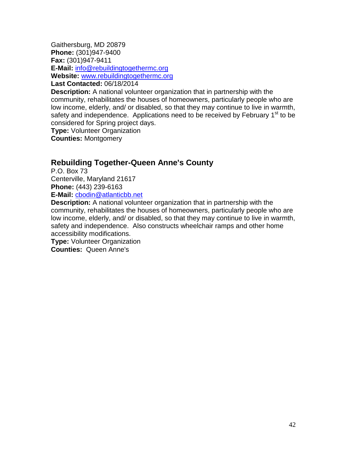Gaithersburg, MD 20879 **Phone:** (301)947-9400 **Fax:** (301)947-9411 **E-Mail:** [info@rebuildingtogethermc.org](mailto:info@rebuildingtogethermc.org) **Website:** [www.rebuildingtogethermc.org](http://www.rebuildingtogethermc.org/) **Last Contacted:** 06/18/2014

**Description:** A national volunteer organization that in partnership with the community, rehabilitates the houses of homeowners, particularly people who are low income, elderly, and/ or disabled, so that they may continue to live in warmth, safety and independence. Applications need to be received by February 1<sup>st</sup> to be considered for Spring project days.

**Type:** Volunteer Organization

**Counties:** Montgomery

#### **Rebuilding Together-Queen Anne's County**

P.O. Box 73 Centerville, Maryland 21617 **Phone:** [\(443\) 239-6163](tel:(443)239-6163) **E-Mail:** [cbodin@atlanticbb.net](mailto:cbodin@atlanticbb.net)

**Description:** A national volunteer organization that in partnership with the community, rehabilitates the houses of homeowners, particularly people who are low income, elderly, and/ or disabled, so that they may continue to live in warmth, safety and independence. Also constructs wheelchair ramps and other home accessibility modifications.

**Type:** Volunteer Organization **Counties:** Queen Anne's